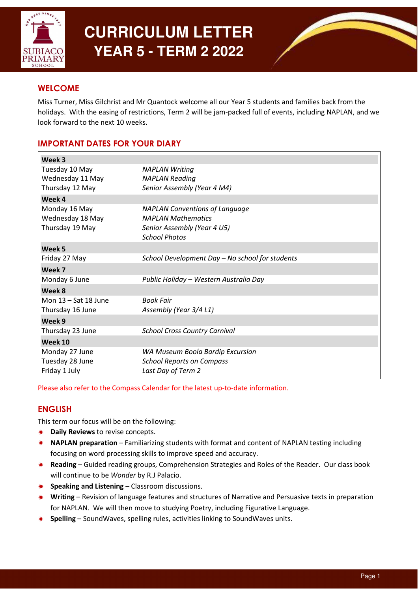

# **CURRICULUM LETTER YEAR 5 - TERM 2 2022**



## **WELCOME**

Miss Turner, Miss Gilchrist and Mr Quantock welcome all our Year 5 students and families back from the holidays. With the easing of restrictions, Term 2 will be jam-packed full of events, including NAPLAN, and we look forward to the next 10 weeks.

# IMPORTANT DATES FOR YOUR DIARY

| Week 3                                                |                                                                                                                           |
|-------------------------------------------------------|---------------------------------------------------------------------------------------------------------------------------|
| Tuesday 10 May<br>Wednesday 11 May<br>Thursday 12 May | <b>NAPLAN Writing</b><br><b>NAPLAN Reading</b><br>Senior Assembly (Year 4 M4)                                             |
| Week 4                                                |                                                                                                                           |
| Monday 16 May<br>Wednesday 18 May<br>Thursday 19 May  | <b>NAPLAN Conventions of Language</b><br><b>NAPLAN Mathematics</b><br>Senior Assembly (Year 4 U5)<br><b>School Photos</b> |
| Week <sub>5</sub>                                     |                                                                                                                           |
| Friday 27 May                                         | School Development Day - No school for students                                                                           |
| Week 7                                                |                                                                                                                           |
| Monday 6 June                                         | Public Holiday - Western Australia Day                                                                                    |
| Week 8                                                |                                                                                                                           |
| Mon 13 - Sat 18 June                                  | <b>Book Fair</b>                                                                                                          |
| Thursday 16 June                                      | Assembly (Year 3/4 L1)                                                                                                    |
| Week 9                                                |                                                                                                                           |
| Thursday 23 June                                      | <b>School Cross Country Carnival</b>                                                                                      |
| Week 10                                               |                                                                                                                           |
| Monday 27 June<br>Tuesday 28 June<br>Friday 1 July    | WA Museum Boola Bardip Excursion<br><b>School Reports on Compass</b><br>Last Day of Term 2                                |

Please also refer to the Compass Calendar for the latest up-to-date information.

# ENGLISH

This term our focus will be on the following:

- Daily Reviews to revise concepts.
- ✹ NAPLAN preparation Familiarizing students with format and content of NAPLAN testing including focusing on word processing skills to improve speed and accuracy.
- ✹ Reading Guided reading groups, Comprehension Strategies and Roles of the Reader. Our class book will continue to be *Wonder* by R.J Palacio.
- ✹ Speaking and Listening Classroom discussions.
- ✹ Writing Revision of language features and structures of Narrative and Persuasive texts in preparation for NAPLAN. We will then move to studying Poetry, including Figurative Language.
- Spelling SoundWaves, spelling rules, activities linking to SoundWaves units.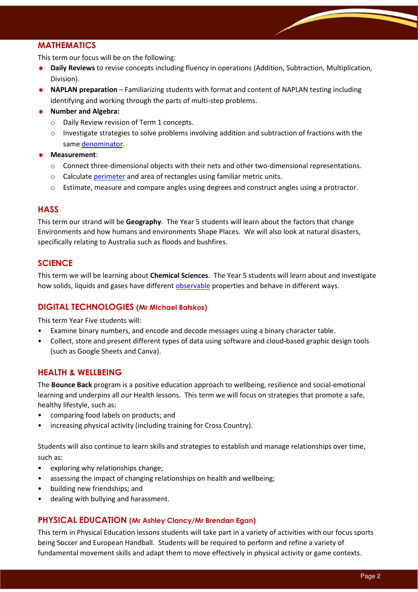# MATHEMATICS

This term our focus will be on the following:

- ✹ Daily Reviews to revise concepts including fluency in operations (Addition, Subtraction, Multiplication, Division).
- ✹ NAPLAN preparation Familiarizing students with format and content of NAPLAN testing including identifying and working through the parts of multi-step problems.

#### ✹ Number and Algebra:

- o Daily Review revision of Term 1 concepts.
- $\circ$  Investigate strategies to solve problems involving addition and subtraction of fractions with the same denominator.
- Measurement:
	- $\circ$  Connect three-dimensional objects with their nets and other two-dimensional representations.
	- o Calculate perimeter and area of rectangles using familiar metric units.
	- $\circ$  Estimate, measure and compare angles using degrees and construct angles using a protractor.

#### **HASS**

This term our strand will be Geography. The Year 5 students will learn about the factors that change Environments and how humans and environments Shape Places. We will also look at natural disasters, specifically relating to Australia such as floods and bushfires.

## **SCIENCE**

This term we will be learning about Chemical Sciences. The Year 5 students will learn about and investigate how solids, liquids and gases have different observable properties and behave in different ways.

#### DIGITAL TECHNOLOGIES (Mr Michael Batskos)

This term Year Five students will:

- Examine binary numbers, and encode and decode messages using a binary character table.
- Collect, store and present different types of data using software and cloud-based graphic design tools (such as Google Sheets and Canva).

#### HEALTH & WELLBEING

The Bounce Back program is a positive education approach to wellbeing, resilience and social-emotional learning and underpins all our Health lessons. This term we will focus on strategies that promote a safe, healthy lifestyle, such as:

- comparing food labels on products; and
- increasing physical activity (including training for Cross Country).

Students will also continue to learn skills and strategies to establish and manage relationships over time, such as:

- exploring why relationships change;
- assessing the impact of changing relationships on health and wellbeing;
- building new friendships; and
- dealing with bullying and harassment.

#### PHYSICAL EDUCATION (Mr Ashley Clancy/Mr Brendan Egan)

This term in Physical Education lessons students will take part in a variety of activities with our focus sports being Soccer and European Handball. Students will be required to perform and refine a variety of fundamental movement skills and adapt them to move effectively in physical activity or game contexts.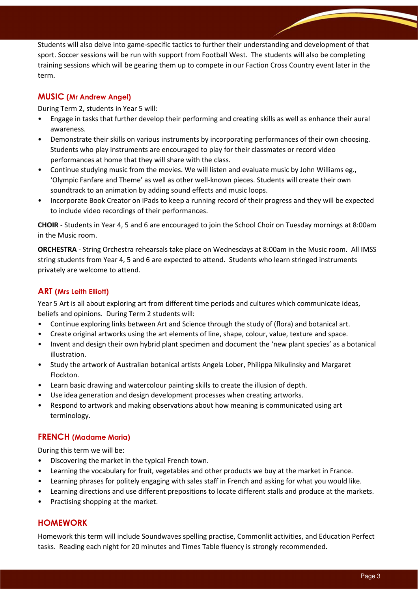Students will also delve into game-specific tactics to further their understanding and development of that sport. Soccer sessions will be run with support from Football West. The students will also be completing training sessions which will be gearing them up to compete in our Faction Cross Country event later in the term.

#### MUSIC (Mr Andrew Angel)

During Term 2, students in Year 5 will:

- Engage in tasks that further develop their performing and creating skills as well as enhance their aural awareness.
- Demonstrate their skills on various instruments by incorporating performances of their own choosing. Students who play instruments are encouraged to play for their classmates or record video performances at home that they will share with the class.
- Continue studying music from the movies. We will listen and evaluate music by John Williams eg., 'Olympic Fanfare and Theme' as well as other well-known pieces. Students will create their own soundtrack to an animation by adding sound effects and music loops.
- Incorporate Book Creator on iPads to keep a running record of their progress and they will be expected to include video recordings of their performances.

CHOIR - Students in Year 4, 5 and 6 are encouraged to join the School Choir on Tuesday mornings at 8:00am in the Music room.

ORCHESTRA - String Orchestra rehearsals take place on Wednesdays at 8:00am in the Music room. All IMSS string students from Year 4, 5 and 6 are expected to attend. Students who learn stringed instruments privately are welcome to attend.

#### ART (Mrs Leith Elliott)

Year 5 Art is all about exploring art from different time periods and cultures which communicate ideas, beliefs and opinions. During Term 2 students will:

- Continue exploring links between Art and Science through the study of (flora) and botanical art.
- Create original artworks using the art elements of line, shape, colour, value, texture and space.
- Invent and design their own hybrid plant specimen and document the 'new plant species' as a botanical illustration.
- Study the artwork of Australian botanical artists Angela Lober, Philippa Nikulinsky and Margaret Flockton.
- Learn basic drawing and watercolour painting skills to create the illusion of depth.
- Use idea generation and design development processes when creating artworks.
- Respond to artwork and making observations about how meaning is communicated using art terminology.

#### FRENCH (Madame Maria)

During this term we will be:

- Discovering the market in the typical French town.
- Learning the vocabulary for fruit, vegetables and other products we buy at the market in France.
- Learning phrases for politely engaging with sales staff in French and asking for what you would like.
- Learning directions and use different prepositions to locate different stalls and produce at the markets.
- Practising shopping at the market.

#### HOMEWORK

Homework this term will include Soundwaves spelling practise, Commonlit activities, and Education Perfect tasks. Reading each night for 20 minutes and Times Table fluency is strongly recommended.